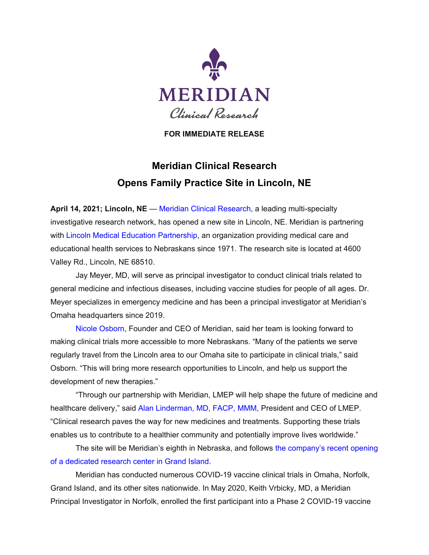

**FOR IMMEDIATE RELEASE**

## **Meridian Clinical Research Opens Family Practice Site in Lincoln, NE**

**April 14, 2021; Lincoln, NE** — [Meridian Clinical Research,](https://www.mcrmed.com/) a leading multi-specialty investigative research network, has opened a new site in Lincoln, NE. Meridian is partnering with [Lincoln Medical Education Partnership,](https://www.lmep.com/) an organization providing medical care and educational health services to Nebraskans since 1971. The research site is located at 4600 Valley Rd., Lincoln, NE 68510.

Jay Meyer, MD, will serve as principal investigator to conduct clinical trials related to general medicine and infectious diseases, including vaccine studies for people of all ages. Dr. Meyer specializes in emergency medicine and has been a principal investigator at Meridian's Omaha headquarters since 2019.

[Nicole Osborn, Founder and CEO of Meridian,](https://www.mcrmed.com/about/leadership-team/#nikki) said her team is looking forward to making clinical trials more accessible to more Nebraskans. "Many of the patients we serve regularly travel from the Lincoln area to our Omaha site to participate in clinical trials," said Osborn. "This will bring more research opportunities to Lincoln, and help us support the development of new therapies."

"Through our partnership with Meridian, LMEP will help shape the future of medicine and healthcare delivery," said [Alan Linderman, MD, FACP, MMM,](https://www.lmep.com/blog/2019/2/5/staff-feature) President and CEO of LMEP. "Clinical research paves the way for new medicines and treatments. Supporting these trials enables us to contribute to a healthier community and potentially improve lives worldwide."

The site will be Meridian's eighth in Nebraska, and follows the company's [recent opening](https://theindependent.com/news/local/local-research-facility-part-of-covid-19-vaccine-trials/article_e434c930-8494-11eb-94b9-3f2d34a90ff6.html)  [of a dedicated research center in Grand Island.](https://theindependent.com/news/local/local-research-facility-part-of-covid-19-vaccine-trials/article_e434c930-8494-11eb-94b9-3f2d34a90ff6.html)

Meridian has conducted numerous COVID-19 vaccine clinical trials in Omaha, Norfolk, Grand Island, and its other sites nationwide. In May 2020, Keith Vrbicky, MD, a Meridian Principal Investigator in Norfolk, enrolled the first participant into a Phase 2 COVID-19 vaccine